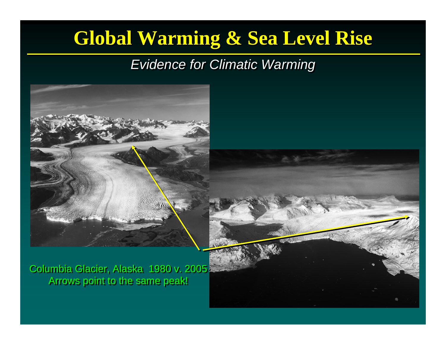### **Global Warming & Sea Level Rise Global Warming & Sea Level Rise**

#### *Evidence for Climatic Warming Evidence for Climatic Warming*



Columbia Glacier, Alaska 1980 v. 2005 Columbia Glacier, Alaska 1980 v. 2005 Arrows point to the same peak! Arrows point to the same peak!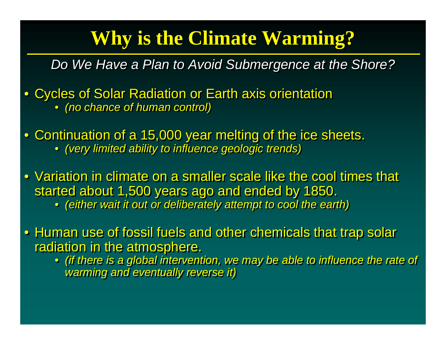## **Why is the Climate Warming? Why is the Climate Warming?**

*Do We Have a Plan to Avoid Submergence at the Shore?* 

- Cycles of Solar Radiation or Earth axis orientation • *(no chance of human control)* • *(no chance of human control)*
- Continuation of a 15,000 year melting of the ice sheets. • *(very limited ability to influence geologic trends)* • *(very limited ability to influence geologic trends)*
- Variation in climate on a smaller scale like the cool times that Variation in climate on a smaller scale like the cool times that started about 1,500 years ago and ended by 1850.
	- *(either wait it out or deliberately attempt to cool the earth) (either wait it out or deliberately attempt to cool the earth)*

• Human use of fossil fuels and other chemicals that trap solar • Human use of fossil fuels and other chemicals that trap solar radiation in the atmosphere.

• *(if there is a global intervention, we may be able to influence the rate of*  • *(if there is a global intervention, we may be able to influence the rate of warming and eventually reverse it) warming and eventually reverse it)*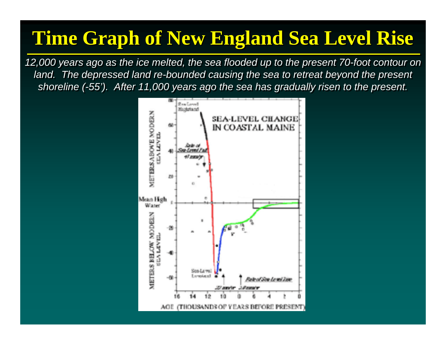### **Time Graph of New England Sea Level Rise Time Graph of New England Sea Level Rise**

*12,000 years ago as the ice melted, the sea flooded up to the present 70-foot contour on 12,000 years ago as the ice melted, the sea flooded up to the present 70-foot contour on*  land. The depressed land re-bounded causing the sea to retreat beyond the present *shoreline (-55'). After 11,000 years ago the sea has gradually risen to the present. shoreline (-55'). After 11,000 years ago the sea has gradually risen to the present.*

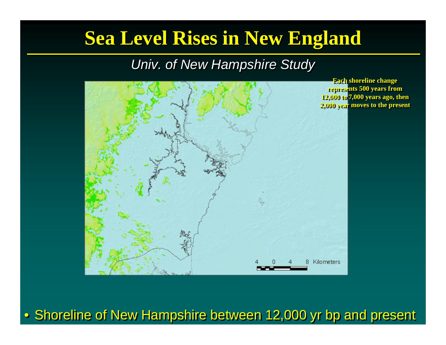### **Sea Level Rises in New England Sea Level Rises in New England**

#### *Univ. of New Hampshire Study Univ. of New Hampshire Study*



**Each shoreline change Each shoreline change represents 500 years from represents 500 years from 12,000 to 7,000 years ago, then 12,000 to 7,000 years ago, then 2,000 year moves to the present 2,000 year moves to the present**

#### • Shoreline of New Hampshire between 12,000 yr bp and present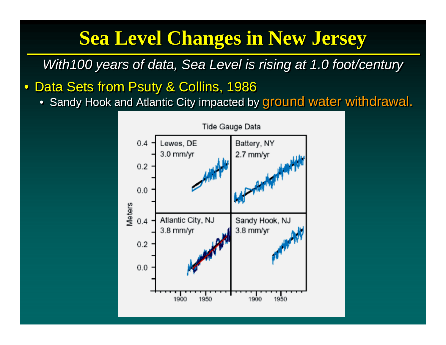# **Sea Level Changes in New Jersey Sea Level Changes in New Jersey**

*With100 years of data, Sea Level is rising at 1.0 foot/century With100 years of data, Sea Level is rising at 1.0 foot/century*

 $\bullet$ Data Sets from Psuty & Collins, 1986 Data Sets from Psuty & Collins, 1986

• Sandy Hook and Atlantic City impacted by ground water withdrawal. • Sandy Hook and Atlantic City impacted by ground water withdrawal.

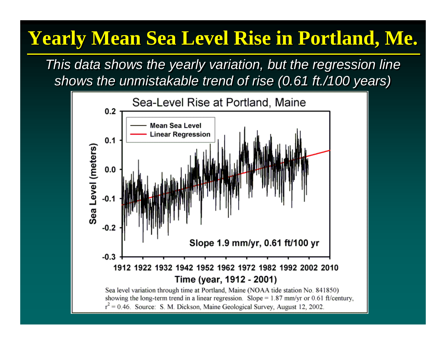# **Yearly Mean Sea Level Rise in Portland, Me. Yearly Mean Sea Level Rise in Portland, Me.**

*This data shows the yearly variation, but the regression line This data shows the yearly variation, but the regression line shows the unmistakable trend of rise (0.61 ft./100 years) shows the unmistakable trend of rise (0.61 ft./100 years)*

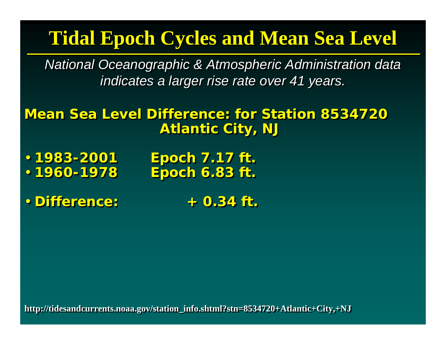### **Tidal Epoch Cycles and Mean Sea Level Tidal Epoch Cycles and Mean Sea Level**

*National Oceanographic & Atmospheric Administration data National Oceanographic & Atmospheric Administration data indicates a larger rise rate over 41 years. indicates a larger rise rate over 41 years.*

**Mean Sea Level Difference: for Station 8534720 Atlantic City, NJ Atlantic City, NJ**

•• **1983-2001 Epoch 7.17 ft. 1983-2001 Epoch 7.17 ft.** ••**1960-1978 Epoch 6.83 ft. 1960-1978 Epoch 6.83 ft.**

• **Difference: + 0.34 ft.** • **Difference: + 0.34 ft.**

**http://tidesandcurrents.noaa.gov/station\_ http://tidesandcurrents.noaa.gov/station\_info.shtml?stn=8534720+Atlantic+City,+NJ info.shtml?stn=8534720+Atlantic+City,+NJ**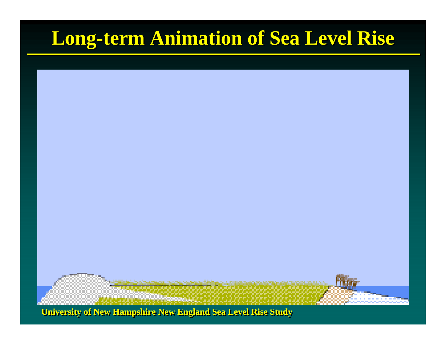# **Long-term Animation of Sea Level Rise Long-term Animation of Sea Level Rise**



**University of New Hampshire New England Sea Level Rise Study**